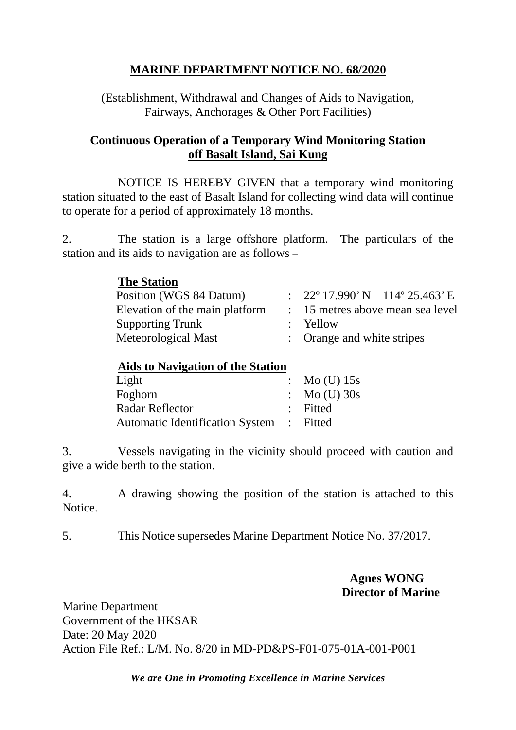## **MARINE DEPARTMENT NOTICE NO. 68/2020**

(Establishment, Withdrawal and Changes of Aids to Navigation, Fairways, Anchorages & Other Port Facilities)

## **Continuous Operation of a Temporary Wind Monitoring Station off Basalt Island, Sai Kung**

NOTICE IS HEREBY GIVEN that a temporary wind monitoring station situated to the east of Basalt Island for collecting wind data will continue to operate for a period of approximately 18 months.

2. The station is a large offshore platform. The particulars of the station and its aids to navigation are as follows –

### **The Station**

| Position (WGS 84 Datum)        | : $22^{\circ}$ 17.990' N 114° 25.463' E |  |
|--------------------------------|-----------------------------------------|--|
| Elevation of the main platform | : 15 metres above mean sea level        |  |
| <b>Supporting Trunk</b>        | $:$ Yellow                              |  |
| Meteorological Mast            | : Orange and white stripes              |  |

# **Aids to Navigation of the Station**

| Light                                    | : Mo (U) $15s$          |
|------------------------------------------|-------------------------|
| Foghorn                                  | $\therefore$ Mo (U) 30s |
| Radar Reflector                          | : Fitted                |
| Automatic Identification System : Fitted |                         |
|                                          |                         |

3. Vessels navigating in the vicinity should proceed with caution and give a wide berth to the station.

4. A drawing showing the position of the station is attached to this Notice.

5. This Notice supersedes Marine Department Notice No. 37/2017.

### **Agnes WONG Director of Marine**

Marine Department Government of the HKSAR Date: 20 May 2020 Action File Ref.: L/M. No. 8/20 in MD-PD&PS-F01-075-01A-001-P001

*We are One in Promoting Excellence in Marine Services*